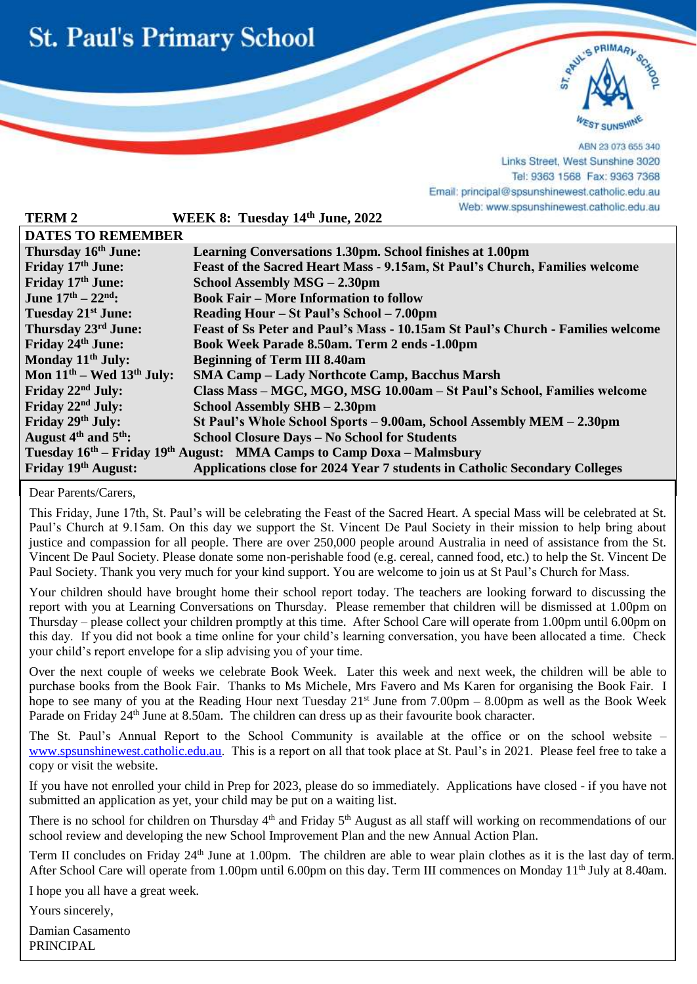



ABN 23 073 655 340 Links Street, West Sunshine 3020 Tel: 9363 1568 Fax: 9363 7368 Email: principal@spsunshinewest.catholic.edu.au Web: www.spsunshinewest.catholic.edu.au

| <b>TERM 2</b>                                                                                 | WEEK 8: Tuesday 14th June, 2022                                                 |
|-----------------------------------------------------------------------------------------------|---------------------------------------------------------------------------------|
| <b>DATES TO REMEMBER</b>                                                                      |                                                                                 |
| Thursday 16th June:                                                                           | Learning Conversations 1.30pm. School finishes at 1.00pm                        |
| Friday 17th June:                                                                             | Feast of the Sacred Heart Mass - 9.15am, St Paul's Church, Families welcome     |
| Friday 17th June:                                                                             | School Assembly MSG - 2.30pm                                                    |
| June $17^{th} - 22^{nd}$ :                                                                    | <b>Book Fair – More Information to follow</b>                                   |
| Tuesday 21 <sup>st</sup> June:                                                                | Reading Hour – St Paul's School – 7.00pm                                        |
| Thursday 23rd June:                                                                           | Feast of Ss Peter and Paul's Mass - 10.15am St Paul's Church - Families welcome |
| Friday 24th June:                                                                             | Book Week Parade 8.50am. Term 2 ends -1.00pm                                    |
| Monday 11 <sup>th</sup> July:                                                                 | <b>Beginning of Term III 8.40am</b>                                             |
| Mon $11th$ – Wed $13th$ July:                                                                 | <b>SMA Camp – Lady Northcote Camp, Bacchus Marsh</b>                            |
| Friday 22 <sup>nd</sup> July:                                                                 | Class Mass - MGC, MGO, MSG 10.00am - St Paul's School, Families welcome         |
| Friday 22 <sup>nd</sup> July:                                                                 | School Assembly SHB - 2.30pm                                                    |
| Friday 29th July:                                                                             | St Paul's Whole School Sports – 9.00am, School Assembly MEM – 2.30pm            |
| August $4th$ and $5th$ :                                                                      | <b>School Closure Days - No School for Students</b>                             |
| Tuesday 16 <sup>th</sup> – Friday 19 <sup>th</sup> August: MMA Camps to Camp Doxa – Malmsbury |                                                                                 |
| Friday 19th August:                                                                           | Applications close for 2024 Year 7 students in Catholic Secondary Colleges      |

Dear Parents/Carers,

l

This Friday, June 17th, St. Paul's will be celebrating the Feast of the Sacred Heart. A special Mass will be celebrated at St. Paul's Church at 9.15am. On this day we support the St. Vincent De Paul Society in their mission to help bring about justice and compassion for all people. There are over 250,000 people around Australia in need of assistance from the St. Vincent De Paul Society. Please donate some non-perishable food (e.g. cereal, canned food, etc.) to help the St. Vincent De Paul Society. Thank you very much for your kind support. You are welcome to join us at St Paul's Church for Mass.

Your children should have brought home their school report today. The teachers are looking forward to discussing the report with you at Learning Conversations on Thursday. Please remember that children will be dismissed at 1.00pm on Thursday – please collect your children promptly at this time. After School Care will operate from 1.00pm until 6.00pm on this day. If you did not book a time online for your child's learning conversation, you have been allocated a time. Check your child's report envelope for a slip advising you of your time.

Over the next couple of weeks we celebrate Book Week. Later this week and next week, the children will be able to purchase books from the Book Fair. Thanks to Ms Michele, Mrs Favero and Ms Karen for organising the Book Fair. I hope to see many of you at the Reading Hour next Tuesday 21<sup>st</sup> June from 7.00pm – 8.00pm as well as the Book Week Parade on Friday 24<sup>th</sup> June at 8.50am. The children can dress up as their favourite book character.

The St. Paul's Annual Report to the School Community is available at the office or on the school website – [www.spsunshinewest.catholic.edu.au.](http://www.spsunshinewest.catholic.edu.au/) This is a report on all that took place at St. Paul's in 2021. Please feel free to take a copy or visit the website.

If you have not enrolled your child in Prep for 2023, please do so immediately. Applications have closed - if you have not submitted an application as yet, your child may be put on a waiting list.

There is no school for children on Thursday 4<sup>th</sup> and Friday 5<sup>th</sup> August as all staff will working on recommendations of our school review and developing the new School Improvement Plan and the new Annual Action Plan.

Term II concludes on Friday 24<sup>th</sup> June at 1.00pm. The children are able to wear plain clothes as it is the last day of term. After School Care will operate from 1.00pm until 6.00pm on this day. Term III commences on Monday 11<sup>th</sup> July at 8.40am.

I hope you all have a great week.

Yours sincerely,

Damian Casamento PRINCIPAL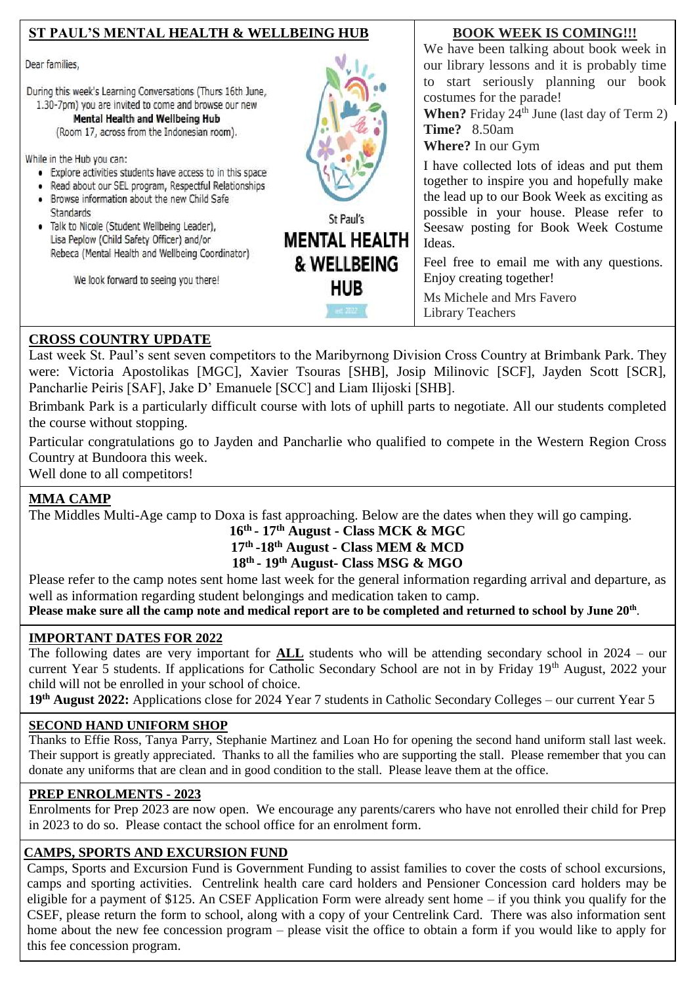## **ST PAUL'S MENTAL HEALTH & WELLBEING HUB**

Dear families.

During this week's Learning Conversations (Thurs 16th June, 1.30-7pm) you are invited to come and browse our new

Mental Health and Wellbeing Hub

(Room 17, across from the Indonesian room).

While in the Hub you can:

- Explore activities students have access to in this space
- · Read about our SEL program, Respectful Relationships
- Browse information about the new Child Safe **Standards**
- · Talk to Nicole (Student Wellbeing Leader), Lisa Peplow (Child Safety Officer) and/or Rebeca (Mental Health and Wellbeing Coordinator)

We look forward to seeing you there!



St Paul's **MENTAL HEALTH** & WELLBEING **HUB** 

#### **BOOK WEEK IS COMING!!!**

We have been talking about book week in our library lessons and it is probably time to start seriously planning our book costumes for the parade!

**When?** Friday  $24^{th}$  June (last day of Term 2) **Time?** 8.50am

**Where?** In our Gym

I have collected lots of ideas and put them together to inspire you and hopefully make the lead up to our Book Week as exciting as possible in your house. Please refer to Seesaw posting for Book Week Costume Ideas.

Feel free to email me with any questions. Enjoy creating together!

Ms Michele and Mrs Favero Library Teachers

### **CROSS COUNTRY UPDATE**

 Pancharlie Peiris [SAF], Jake D' Emanuele [SCC] and Liam Ilijoski [SHB]. Last week St. Paul's sent seven competitors to the Maribyrnong Division Cross Country at Brimbank Park. They were: Victoria Apostolikas [MGC], Xavier Tsouras [SHB], Josip Milinovic [SCF], Jayden Scott [SCR],

Brimbank Park is a particularly difficult course with lots of uphill parts to negotiate. All our students completed the course without stopping.

Particular congratulations go to Jayden and Pancharlie who qualified to compete in the Western Region Cross Country at Bundoora this week.

Well done to all competitors!

# **MMA CAMP**

The Middles Multi-Age camp to Doxa is fast approaching. Below are the dates when they will go camping.

#### **16th - 17th August - Class MCK & MGC 17th -18th August - Class MEM & MCD 18th - 19th August- Class MSG & MGO**

Please refer to the camp notes sent home last week for the general information regarding arrival and departure, as well as information regarding student belongings and medication taken to camp.

**Please make sure all the camp note and medical report are to be completed and returned to school by June 20th** .

### **IMPORTANT DATES FOR 2022**

The following dates are very important for **ALL** students who will be attending secondary school in 2024 – our current Year 5 students. If applications for Catholic Secondary School are not in by Friday 19<sup>th</sup> August, 2022 your child will not be enrolled in your school of choice.

**19th August 2022:** Applications close for 2024 Year 7 students in Catholic Secondary Colleges – our current Year 5

### **SECOND HAND UNIFORM SHOP**

Thanks to Effie Ross, Tanya Parry, Stephanie Martinez and Loan Ho for opening the second hand uniform stall last week. Their support is greatly appreciated. Thanks to all the families who are supporting the stall. Please remember that you can donate any uniforms that are clean and in good condition to the stall. Please leave them at the office.

### **PREP ENROLMENTS - 2023**

Enrolments for Prep 2023 are now open. We encourage any parents/carers who have not enrolled their child for Prep in 2023 to do so. Please contact the school office for an enrolment form.

### **CAMPS, SPORTS AND EXCURSION FUND**

Camps, Sports and Excursion Fund is Government Funding to assist families to cover the costs of school excursions, camps and sporting activities. Centrelink health care card holders and Pensioner Concession card holders may be eligible for a payment of \$125. An CSEF Application Form were already sent home – if you think you qualify for the CSEF, please return the form to school, along with a copy of your Centrelink Card. There was also information sent home about the new fee concession program – please visit the office to obtain a form if you would like to apply for this fee concession program.